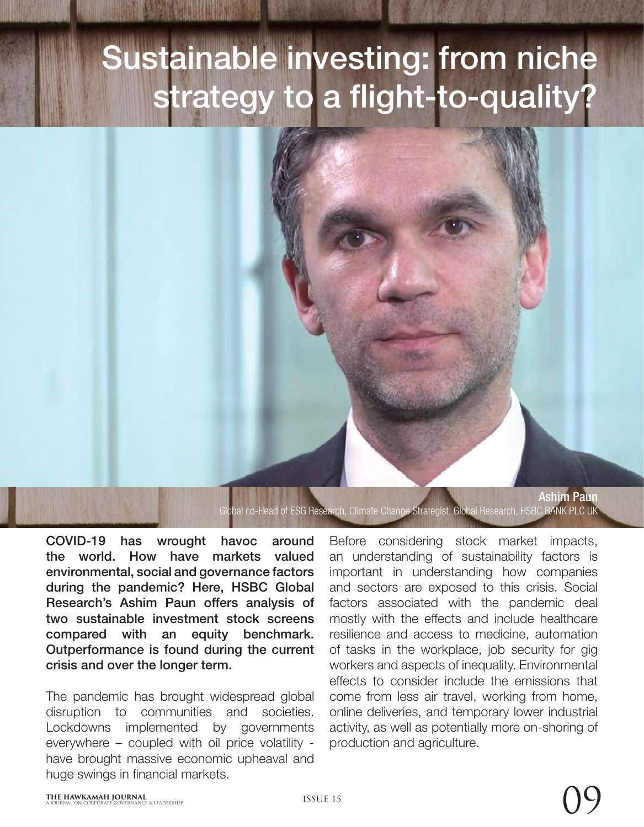# Sustainable investing: from niche strategy to a flight-to-quality?

Global co-Head of ESG Research, Climate Change Strategist, Global Research, HSBC BANK PLC UK

COVID-19 has wrought havoc around the world. How have markets valued environmental, social and governance factors during the pandemic? Here, HSBC Global Research's Ashim Paun offers analysis of two sustainable investment stock screens compared with an equity benchmark. Outperformance is found during the current crisis and over the longer term.

The pandemic has brought widespread global disruption to communities and societies. Lockdowns implemented by governments everywhere – coupled with oil price volatility have brought massive economic upheaval and huge swings in financial markets.

Before considering stock market impacts, an understanding of sustainability factors is important in understanding how companies and sectors are exposed to this crisis. Social factors associated with the pandemic deal mostly with the effects and include healthcare resilience and access to medicine, automation of tasks in the workplace, job security for gig workers and aspects of inequality. Environmental effects to consider include the emissions that come from less air travel, working from home, online deliveries, and temporary lower industrial activity, as well as potentially more on-shoring of production and agriculture.

Ashim Paun

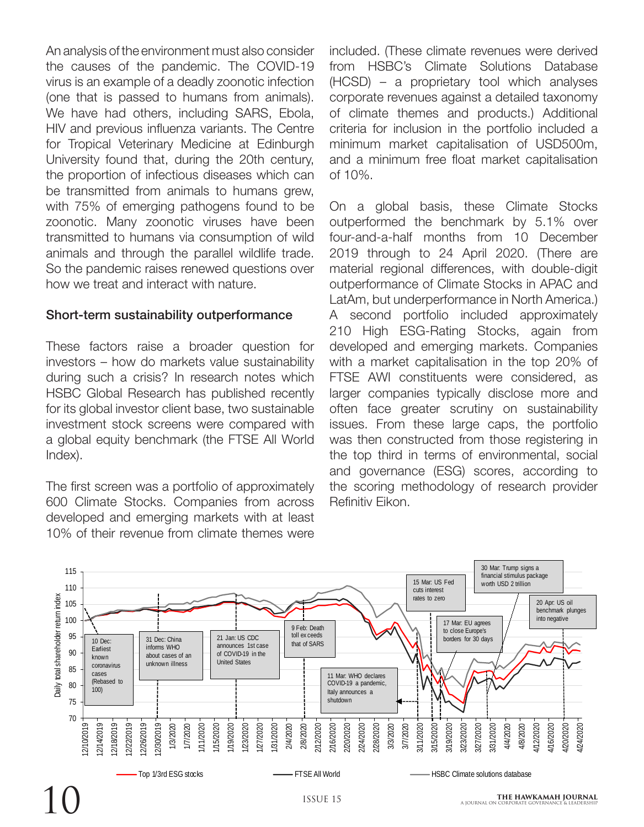An analysis of the environment must also consider the causes of the pandemic. The COVID-19 virus is an example of a deadly zoonotic infection (one that is passed to humans from animals). We have had others, including SARS, Ebola, HIV and previous influenza variants. The Centre for Tropical Veterinary Medicine at Edinburgh University found that, during the 20th century, the proportion of infectious diseases which can be transmitted from animals to humans grew, with 75% of emerging pathogens found to be zoonotic. Many zoonotic viruses have been transmitted to humans via consumption of wild animals and through the parallel wildlife trade. So the pandemic raises renewed questions over how we treat and interact with nature.

#### Short-term sustainability outperformance

These factors raise a broader question for investors – how do markets value sustainability during such a crisis? In research notes which HSBC Global Research has published recently for its global investor client base, two sustainable investment stock screens were compared with a global equity benchmark (the FTSE All World Index).

The first screen was a portfolio of approximately 600 Climate Stocks. Companies from across developed and emerging markets with at least 10% of their revenue from climate themes were included. (These climate revenues were derived from HSBC's Climate Solutions Database (HCSD) – a proprietary tool which analyses corporate revenues against a detailed taxonomy of climate themes and products.) Additional criteria for inclusion in the portfolio included a minimum market capitalisation of USD500m, and a minimum free float market capitalisation of 10%.

On a global basis, these Climate Stocks outperformed the benchmark by 5.1% over four-and-a-half months from 10 December 2019 through to 24 April 2020. (There are material regional differences, with double-digit outperformance of Climate Stocks in APAC and LatAm, but underperformance in North America.) A second portfolio included approximately 210 High ESG-Rating Stocks, again from developed and emerging markets. Companies with a market capitalisation in the top 20% of FTSE AWI constituents were considered, as larger companies typically disclose more and often face greater scrutiny on sustainability issues. From these large caps, the portfolio was then constructed from those registering in the top third in terms of environmental, social and governance (ESG) scores, according to the scoring methodology of research provider Refinitiv Eikon.

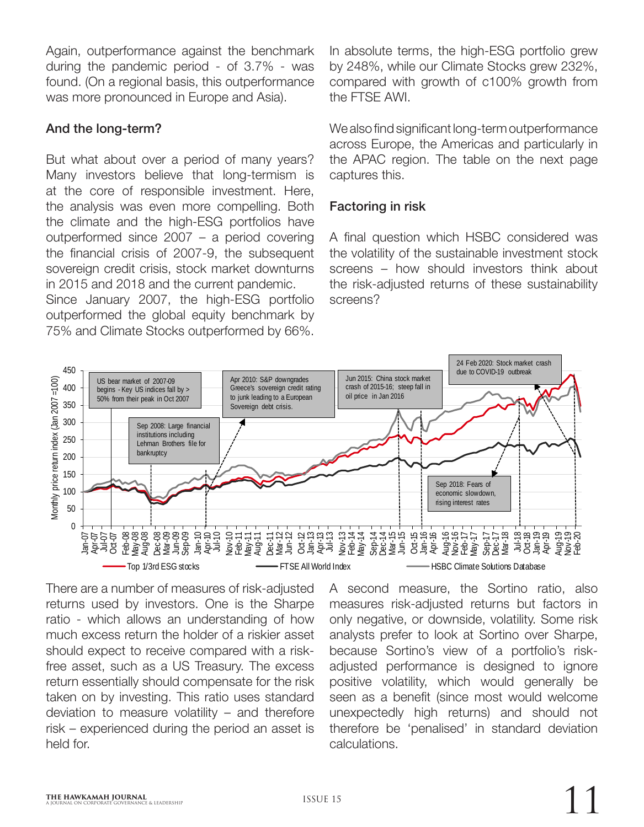Again, outperformance against the benchmark during the pandemic period - of 3.7% - was found. (On a regional basis, this outperformance was more pronounced in Europe and Asia).

## And the long-term?

But what about over a period of many years? Many investors believe that long-termism is at the core of responsible investment. Here, the analysis was even more compelling. Both the climate and the high-ESG portfolios have outperformed since 2007 – a period covering the financial crisis of 2007-9, the subsequent sovereign credit crisis, stock market downturns in 2015 and 2018 and the current pandemic.

Since January 2007, the high-ESG portfolio outperformed the global equity benchmark by 75% and Climate Stocks outperformed by 66%.

In absolute terms, the high-ESG portfolio grew by 248%, while our Climate Stocks grew 232%, compared with growth of c100% growth from the FTSE AWI.

We also find significant long-term outperformance across Europe, the Americas and particularly in the APAC region. The table on the next page captures this.

## Factoring in risk

A final question which HSBC considered was the volatility of the sustainable investment stock screens – how should investors think about the risk-adjusted returns of these sustainability screens?



There are a number of measures of risk-adjusted returns used by investors. One is the Sharpe ratio - which allows an understanding of how much excess return the holder of a riskier asset should expect to receive compared with a riskfree asset, such as a US Treasury. The excess return essentially should compensate for the risk taken on by investing. This ratio uses standard deviation to measure volatility – and therefore risk – experienced during the period an asset is held for.

A second measure, the Sortino ratio, also measures risk-adjusted returns but factors in only negative, or downside, volatility. Some risk analysts prefer to look at Sortino over Sharpe, because Sortino's view of a portfolio's riskadjusted performance is designed to ignore positive volatility, which would generally be seen as a benefit (since most would welcome unexpectedly high returns) and should not therefore be 'penalised' in standard deviation calculations.